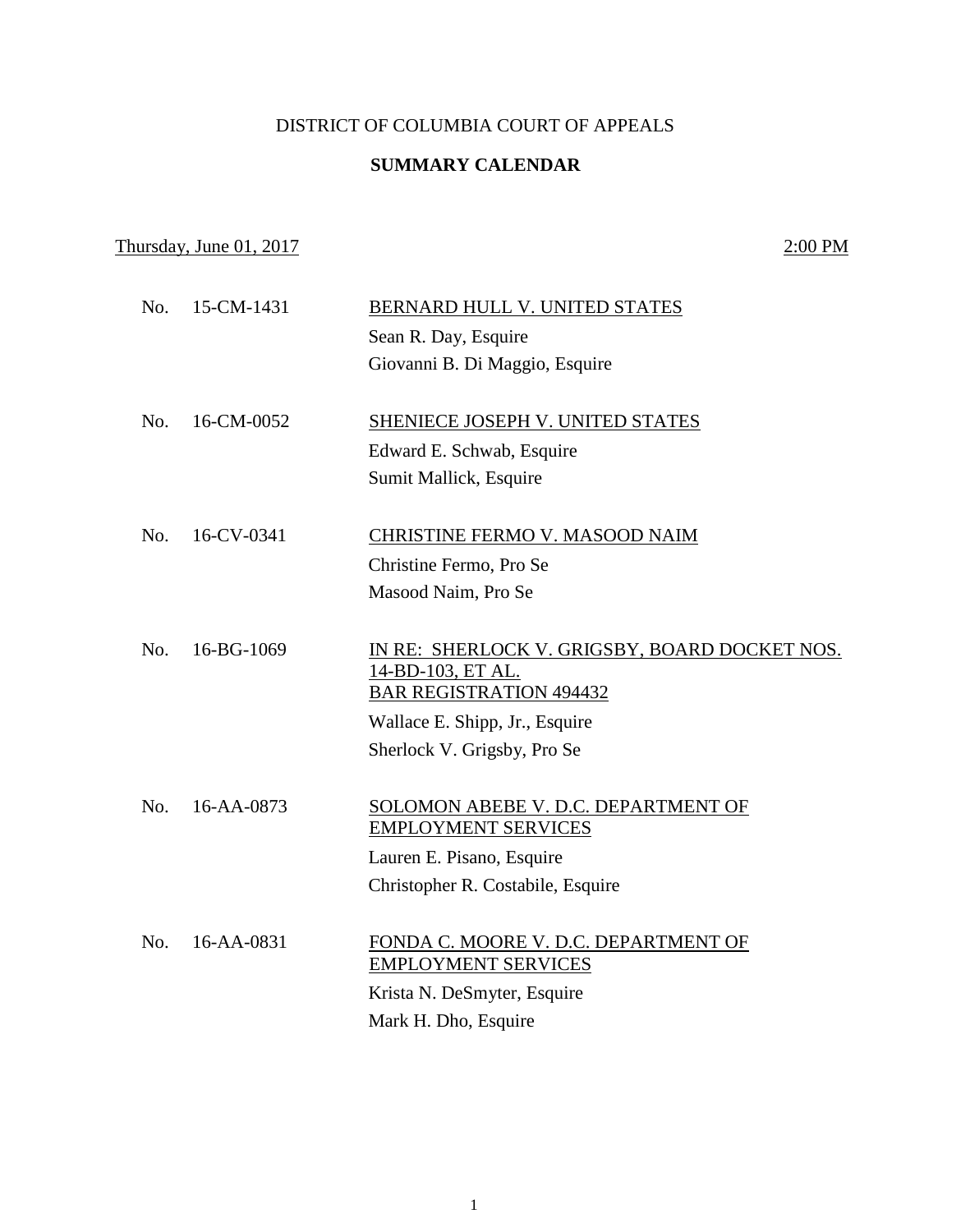## DISTRICT OF COLUMBIA COURT OF APPEALS

## **SUMMARY CALENDAR**

## Thursday, June 01, 2017 2:00 PM

| No. | 15-CM-1431 | BERNARD HULL V. UNITED STATES                                 |
|-----|------------|---------------------------------------------------------------|
|     |            | Sean R. Day, Esquire                                          |
|     |            | Giovanni B. Di Maggio, Esquire                                |
|     |            |                                                               |
| No. | 16-CM-0052 | <b>SHENIECE JOSEPH V. UNITED STATES</b>                       |
|     |            | Edward E. Schwab, Esquire                                     |
|     |            | Sumit Mallick, Esquire                                        |
|     |            |                                                               |
| No. | 16-CV-0341 | CHRISTINE FERMO V. MASOOD NAIM                                |
|     |            | Christine Fermo, Pro Se                                       |
|     |            | Masood Naim, Pro Se                                           |
|     |            |                                                               |
| No. | 16-BG-1069 | IN RE: SHERLOCK V. GRIGSBY, BOARD DOCKET NOS.                 |
|     |            | 14-BD-103, ET AL.<br><b>BAR REGISTRATION 494432</b>           |
|     |            |                                                               |
|     |            | Wallace E. Shipp, Jr., Esquire<br>Sherlock V. Grigsby, Pro Se |
|     |            |                                                               |
| No. | 16-AA-0873 | SOLOMON ABEBE V. D.C. DEPARTMENT OF                           |
|     |            | <b>EMPLOYMENT SERVICES</b>                                    |
|     |            | Lauren E. Pisano, Esquire                                     |
|     |            | Christopher R. Costabile, Esquire                             |
|     |            |                                                               |
| No. | 16-AA-0831 | FONDA C. MOORE V. D.C. DEPARTMENT OF                          |
|     |            | <b>EMPLOYMENT SERVICES</b>                                    |
|     |            | Krista N. DeSmyter, Esquire                                   |
|     |            | Mark H. Dho, Esquire                                          |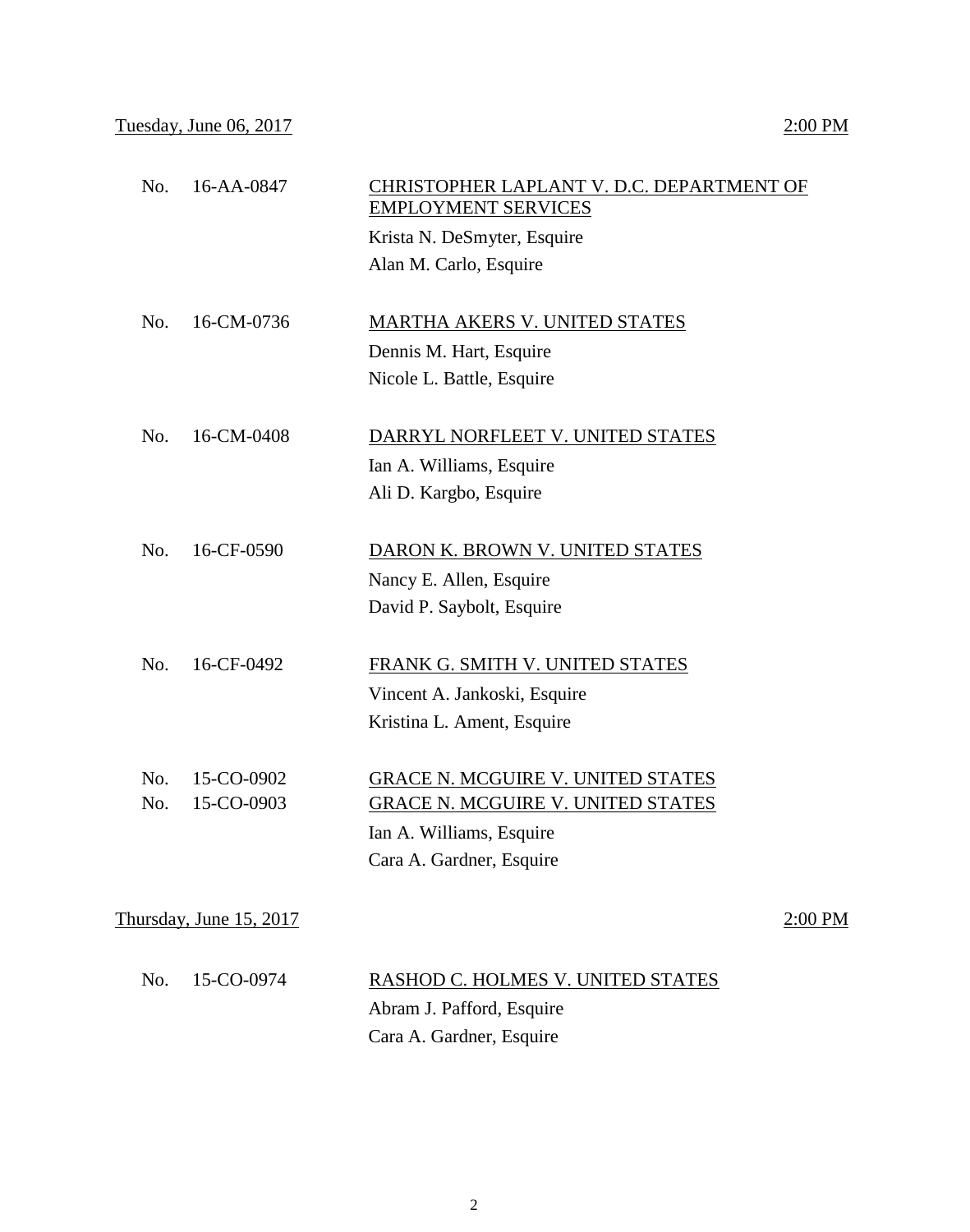| No. | 16-AA-0847              | CHRISTOPHER LAPLANT V. D.C. DEPARTMENT OF<br><b>EMPLOYMENT SERVICES</b> |           |
|-----|-------------------------|-------------------------------------------------------------------------|-----------|
|     |                         | Krista N. DeSmyter, Esquire                                             |           |
|     |                         | Alan M. Carlo, Esquire                                                  |           |
| No. | 16-CM-0736              | <b>MARTHA AKERS V. UNITED STATES</b>                                    |           |
|     |                         | Dennis M. Hart, Esquire                                                 |           |
|     |                         | Nicole L. Battle, Esquire                                               |           |
| No. | 16-CM-0408              | DARRYL NORFLEET V. UNITED STATES                                        |           |
|     |                         | Ian A. Williams, Esquire                                                |           |
|     |                         | Ali D. Kargbo, Esquire                                                  |           |
| No. | 16-CF-0590              | DARON K. BROWN V. UNITED STATES                                         |           |
|     |                         | Nancy E. Allen, Esquire                                                 |           |
|     |                         | David P. Saybolt, Esquire                                               |           |
| No. | 16-CF-0492              | FRANK G. SMITH V. UNITED STATES                                         |           |
|     |                         | Vincent A. Jankoski, Esquire                                            |           |
|     |                         | Kristina L. Ament, Esquire                                              |           |
| No. | 15-CO-0902              | <b>GRACE N. MCGUIRE V. UNITED STATES</b>                                |           |
| No. | 15-CO-0903              | <b>GRACE N. MCGUIRE V. UNITED STATES</b>                                |           |
|     |                         | Ian A. Williams, Esquire                                                |           |
|     |                         | Cara A. Gardner, Esquire                                                |           |
|     | Thursday, June 15, 2017 |                                                                         | $2:00$ PM |
| No. | 15-CO-0974              | RASHOD C. HOLMES V. UNITED STATES                                       |           |
|     |                         | Abram J. Pafford, Esquire                                               |           |
|     |                         | Cara A. Gardner, Esquire                                                |           |
|     |                         |                                                                         |           |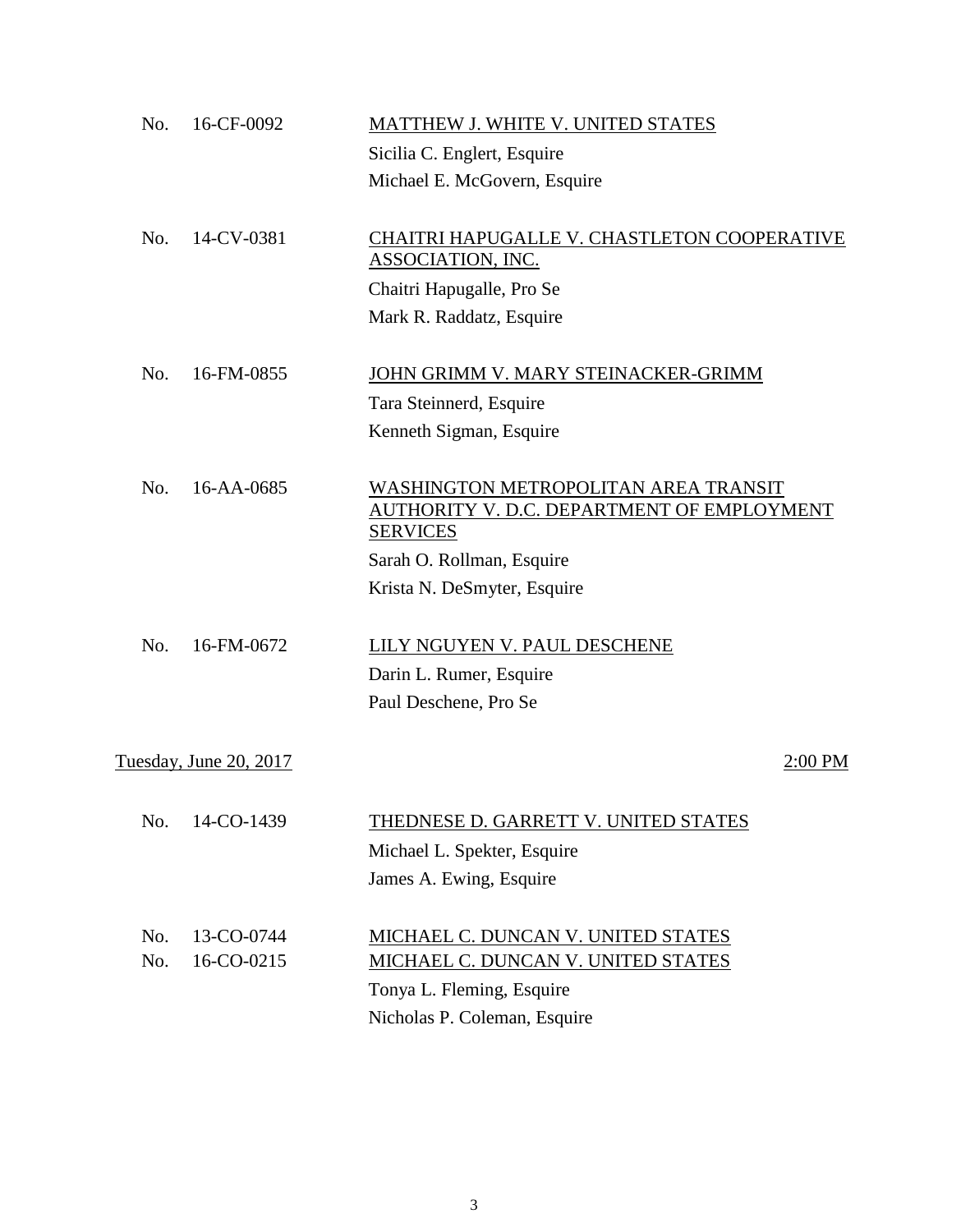| No. | 16-CF-0092             | MATTHEW J. WHITE V. UNITED STATES                                                                     |         |
|-----|------------------------|-------------------------------------------------------------------------------------------------------|---------|
|     |                        | Sicilia C. Englert, Esquire                                                                           |         |
|     |                        | Michael E. McGovern, Esquire                                                                          |         |
| No. | 14-CV-0381             | CHAITRI HAPUGALLE V. CHASTLETON COOPERATIVE<br><b>ASSOCIATION, INC.</b>                               |         |
|     |                        | Chaitri Hapugalle, Pro Se                                                                             |         |
|     |                        | Mark R. Raddatz, Esquire                                                                              |         |
| No. | 16-FM-0855             | JOHN GRIMM V. MARY STEINACKER-GRIMM                                                                   |         |
|     |                        | Tara Steinnerd, Esquire                                                                               |         |
|     |                        | Kenneth Sigman, Esquire                                                                               |         |
| No. | 16-AA-0685             | WASHINGTON METROPOLITAN AREA TRANSIT<br>AUTHORITY V. D.C. DEPARTMENT OF EMPLOYMENT<br><b>SERVICES</b> |         |
|     |                        | Sarah O. Rollman, Esquire                                                                             |         |
|     |                        | Krista N. DeSmyter, Esquire                                                                           |         |
| No. | 16-FM-0672             | LILY NGUYEN V. PAUL DESCHENE                                                                          |         |
|     |                        | Darin L. Rumer, Esquire                                                                               |         |
|     |                        | Paul Deschene, Pro Se                                                                                 |         |
|     | Tuesday, June 20, 2017 |                                                                                                       | 2:00 PM |
| No. | 14-CO-1439             | THEDNESE D. GARRETT V. UNITED STATES<br>Michael L. Spekter, Esquire                                   |         |
|     |                        | James A. Ewing, Esquire                                                                               |         |
| No. | 13-CO-0744             | MICHAEL C. DUNCAN V. UNITED STATES                                                                    |         |
| No. | 16-CO-0215             | <u>MICHAEL C. DUNCAN V. UNITED STATES</u>                                                             |         |
|     |                        | Tonya L. Fleming, Esquire                                                                             |         |
|     |                        | Nicholas P. Coleman, Esquire                                                                          |         |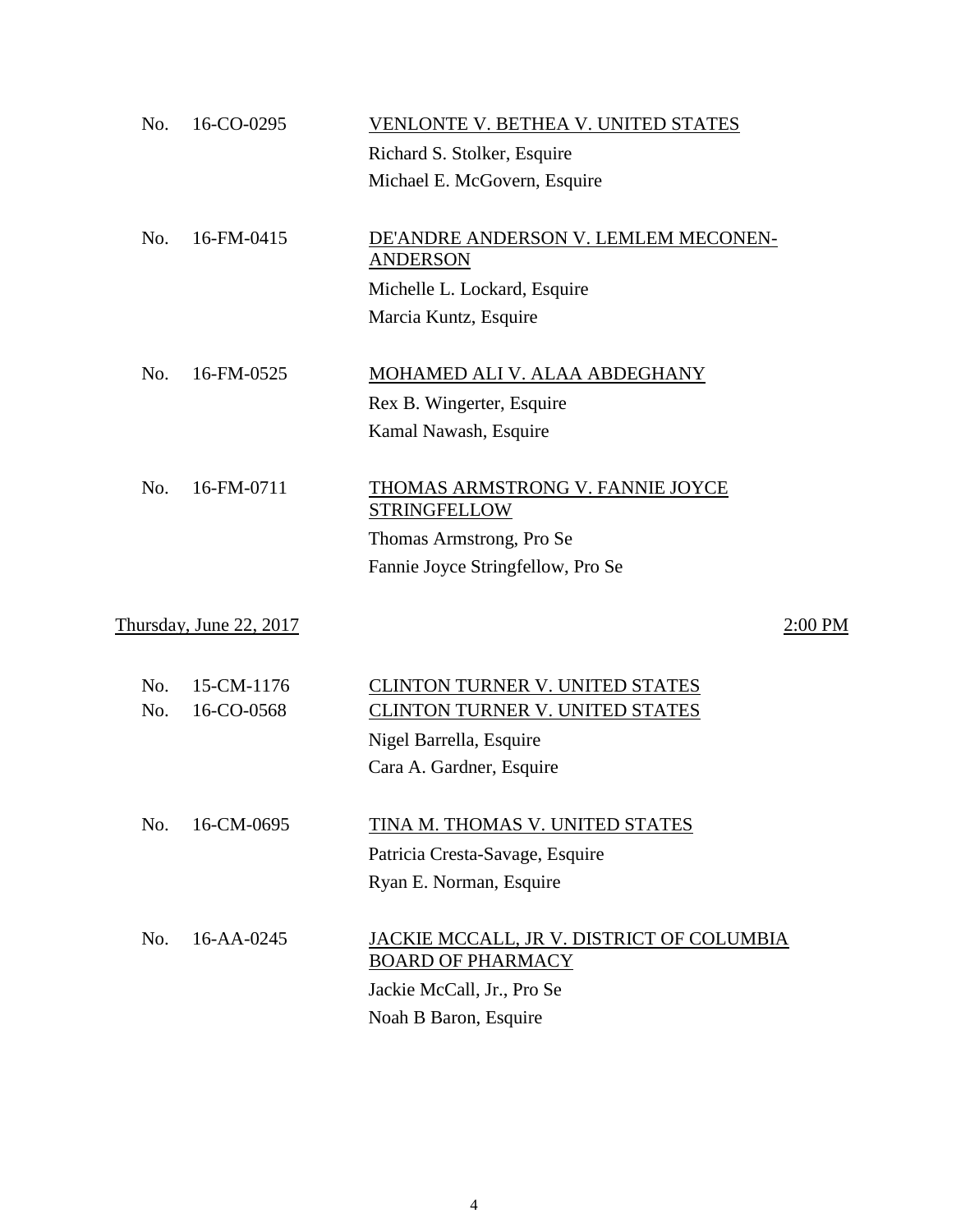| No.        | 16-CO-0295                     | VENLONTE V. BETHEA V. UNITED STATES                                   |
|------------|--------------------------------|-----------------------------------------------------------------------|
|            |                                | Richard S. Stolker, Esquire                                           |
|            |                                | Michael E. McGovern, Esquire                                          |
| No.        | 16-FM-0415                     | DE'ANDRE ANDERSON V. LEMLEM MECONEN-<br><b>ANDERSON</b>               |
|            |                                | Michelle L. Lockard, Esquire                                          |
|            |                                | Marcia Kuntz, Esquire                                                 |
| No.        | 16-FM-0525                     | <b>MOHAMED ALI V. ALAA ABDEGHANY</b>                                  |
|            |                                | Rex B. Wingerter, Esquire                                             |
|            |                                | Kamal Nawash, Esquire                                                 |
| No.        | 16-FM-0711                     | THOMAS ARMSTRONG V. FANNIE JOYCE<br><b>STRINGFELLOW</b>               |
|            |                                | Thomas Armstrong, Pro Se                                              |
|            |                                | Fannie Joyce Stringfellow, Pro Se                                     |
|            | <u>Thursday, June 22, 2017</u> | $2:00$ PM                                                             |
| No.<br>No. | 15-CM-1176<br>16-CO-0568       | CLINTON TURNER V. UNITED STATES                                       |
|            |                                | <b>CLINTON TURNER V. UNITED STATES</b><br>Nigel Barrella, Esquire     |
|            |                                | Cara A. Gardner, Esquire                                              |
|            |                                |                                                                       |
| No.        | 16-CM-0695                     | TINA M. THOMAS V. UNITED STATES                                       |
|            |                                | Patricia Cresta-Savage, Esquire                                       |
|            |                                | Ryan E. Norman, Esquire                                               |
| No.        | 16-AA-0245                     | JACKIE MCCALL, JR V. DISTRICT OF COLUMBIA<br><b>BOARD OF PHARMACY</b> |
|            |                                | Jackie McCall, Jr., Pro Se                                            |
|            |                                | Noah B Baron, Esquire                                                 |